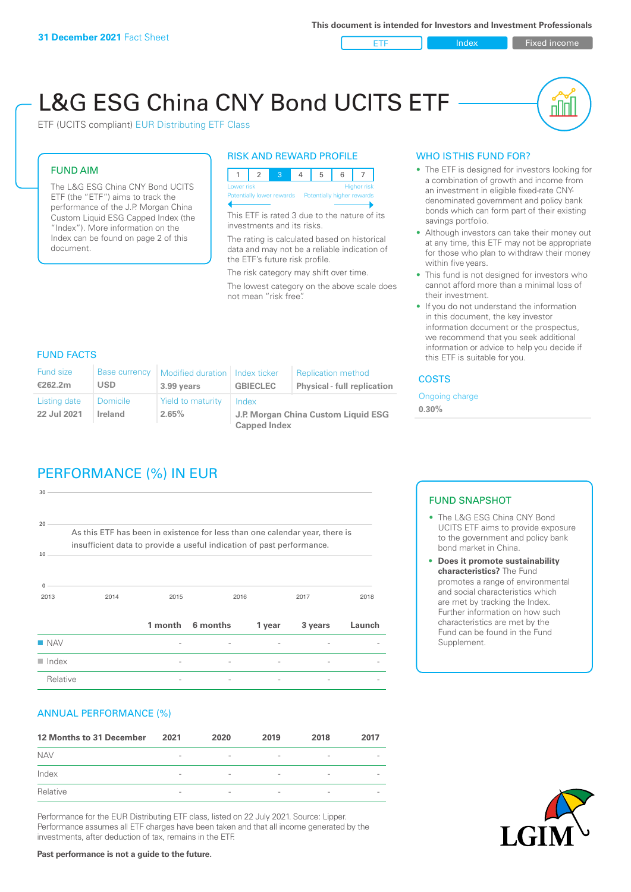ETF Index Fixed income

nl Inl

# L&G ESG China CNY Bond UCITS ETF

ETF (UCITS compliant) EUR Distributing ETF Class

### FUND AIM

The L&G ESG China CNY Bond UCITS ETF (the "ETF") aims to track the performance of the J.P. Morgan China Custom Liquid ESG Capped Index (the "Index"). More information on the Index can be found on page 2 of this document.

#### RISK AND REWARD PROFILE



This ETF is rated 3 due to the nature of its investments and its risks.

The rating is calculated based on historical data and may not be a reliable indication of the ETF's future risk profile.

The risk category may shift over time. The lowest category on the above scale does not mean "risk free".

#### WHO IS THIS FUND FOR?

- The ETF is designed for investors looking for a combination of growth and income from an investment in eligible fixed-rate CNYdenominated government and policy bank bonds which can form part of their existing savings portfolio.
- Although investors can take their money out at any time, this ETF may not be appropriate for those who plan to withdraw their money within five years.
- This fund is not designed for investors who cannot afford more than a minimal loss of their investment.
- If you do not understand the information in this document, the key investor information document or the prospectus, we recommend that you seek additional information or advice to help you decide if this ETF is suitable for you.

#### FUND FACTS

| <b>Fund size</b><br>€262.2m | <b>Base currency</b><br>USD | Modified duration   Index ticker<br>3.99 years | <b>GBIECLEC</b>                                                     | <b>Replication method</b><br><b>Physical - full replication</b> | <b>COSTS</b>               |  |
|-----------------------------|-----------------------------|------------------------------------------------|---------------------------------------------------------------------|-----------------------------------------------------------------|----------------------------|--|
| Listing date<br>22 Jul 2021 | <b>Domicile</b><br>Ireland  | Yield to maturity<br>2.65%                     | Index<br>J.P. Morgan China Custom Liquid ESG<br><b>Capped Index</b> |                                                                 | Ongoing charge<br>$0.30\%$ |  |
|                             |                             |                                                |                                                                     |                                                                 |                            |  |

# PERFORMANCE (%) IN EUR

| Relative                  |                                                                                                                                                      |         |          |        |         |        |
|---------------------------|------------------------------------------------------------------------------------------------------------------------------------------------------|---------|----------|--------|---------|--------|
| $\blacksquare$ Index      |                                                                                                                                                      |         |          |        |         |        |
| $\blacksquare$ NAV        |                                                                                                                                                      |         |          |        |         |        |
|                           |                                                                                                                                                      | 1 month | 6 months | 1 year | 3 years | Launch |
| 2013                      | 2014                                                                                                                                                 | 2015    |          | 2016   | 2017    | 2018   |
| 10 <sup>1</sup>           | As this ETF has been in existence for less than one calendar year, there is<br>insufficient data to provide a useful indication of past performance. |         |          |        |         |        |
| 30 <sub>1</sub><br>$20 -$ |                                                                                                                                                      |         |          |        |         |        |
|                           |                                                                                                                                                      |         |          |        |         |        |

#### ANNUAL PERFORMANCE (%)

| 12 Months to 31 December | 2021                     | 2020                     | 2019                     | 2018                     | 2017                     |
|--------------------------|--------------------------|--------------------------|--------------------------|--------------------------|--------------------------|
| <b>NAV</b>               | $\overline{\phantom{0}}$ | $\overline{\phantom{a}}$ | $\overline{\phantom{a}}$ | $\qquad \qquad$          |                          |
| Index                    | $\qquad \qquad$          | $\overline{\phantom{a}}$ | $\overline{\phantom{a}}$ | $\overline{\phantom{a}}$ | $\overline{\phantom{a}}$ |
| Relative                 | $\overline{\phantom{a}}$ | $\sim$                   | $\overline{\phantom{a}}$ | $\sim$                   | $\overline{\phantom{a}}$ |

Performance for the EUR Distributing ETF class, listed on 22 July 2021. Source: Lipper. Performance assumes all ETF charges have been taken and that all income generated by the investments, after deduction of tax, remains in the ETF.

#### FUND SNAPSHOT

- The L&G ESG China CNY Bond UCITS ETF aims to provide exposure to the government and policy bank bond market in China.
- **• Does it promote sustainability characteristics?** The Fund promotes a range of environmental and social characteristics which are met by tracking the Index. Further information on how such characteristics are met by the Fund can be found in the Fund Supplement.



**Past performance is not a guide to the future.**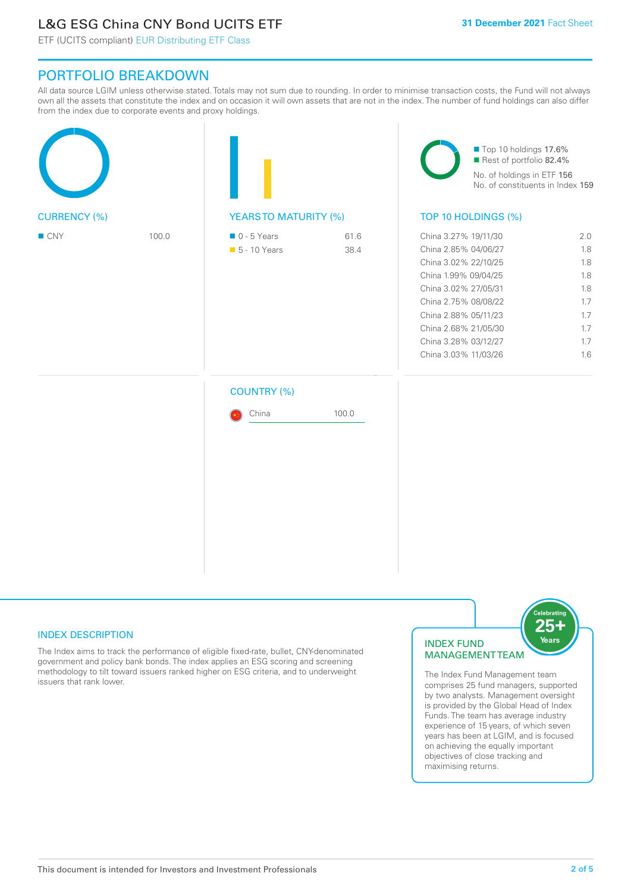# L&G ESG China CNY Bond UCITS ETF

ETF (UCITS compliant) EUR Distributing ETF Class

## PORTFOLIO BREAKDOWN

All data source LGIM unless otherwise stated. Totals may not sum due to rounding. In order to minimise transaction costs, the Fund will not always own all the assets that constitute the index and on occasion it will own assets that are not in the index. The number of fund holdings can also differ from the index due to corporate events and proxy holdings.

|                     |       |                                              |              | Top 10 holdings 17.6%<br>Rest of portfolio 82.4%<br>No. of holdings in ETF 156<br>No. of constituents in Index 159                                                                                                                           |                                                                    |  |
|---------------------|-------|----------------------------------------------|--------------|----------------------------------------------------------------------------------------------------------------------------------------------------------------------------------------------------------------------------------------------|--------------------------------------------------------------------|--|
| <b>CURRENCY (%)</b> |       | <b>YEARSTO MATURITY (%)</b>                  |              | TOP 10 HOLDINGS (%)                                                                                                                                                                                                                          |                                                                    |  |
| ■ CNY               | 100.0 | $\blacksquare$ 0 - 5 Years<br>• 5 - 10 Years | 61.6<br>38.4 | China 3.27% 19/11/30<br>China 2.85% 04/06/27<br>China 3.02% 22/10/25<br>China 1.99% 09/04/25<br>China 3.02% 27/05/31<br>China 2.75% 08/08/22<br>China 2.88% 05/11/23<br>China 2.68% 21/05/30<br>China 3.28% 03/12/27<br>China 3.03% 11/03/26 | 2.0<br>1.8<br>1.8<br>1.8<br>1.8<br>1.7<br>1.7<br>1.7<br>1.7<br>1.6 |  |
|                     |       | <b>COUNTRY (%)</b>                           |              |                                                                                                                                                                                                                                              |                                                                    |  |
|                     |       | China                                        | 100.0        |                                                                                                                                                                                                                                              |                                                                    |  |
|                     |       |                                              |              |                                                                                                                                                                                                                                              |                                                                    |  |

#### INDEX DESCRIPTION

The Index aims to track the performance of eligible fixed-rate, bullet, CNY-denominated government and policy bank bonds. The index applies an ESG scoring and screening methodology to tilt toward issuers ranked higher on ESG criteria, and to underweight issuers that rank lower.

#### INDEX FUND MANAGEMENT TEAM



The Index Fund Management team comprises 25 fund managers, supported by two analysts. Management oversight is provided by the Global Head of Index Funds. The team has average industry experience of 15 years, of which seven years has been at LGIM, and is focused on achieving the equally important objectives of close tracking and maximising returns.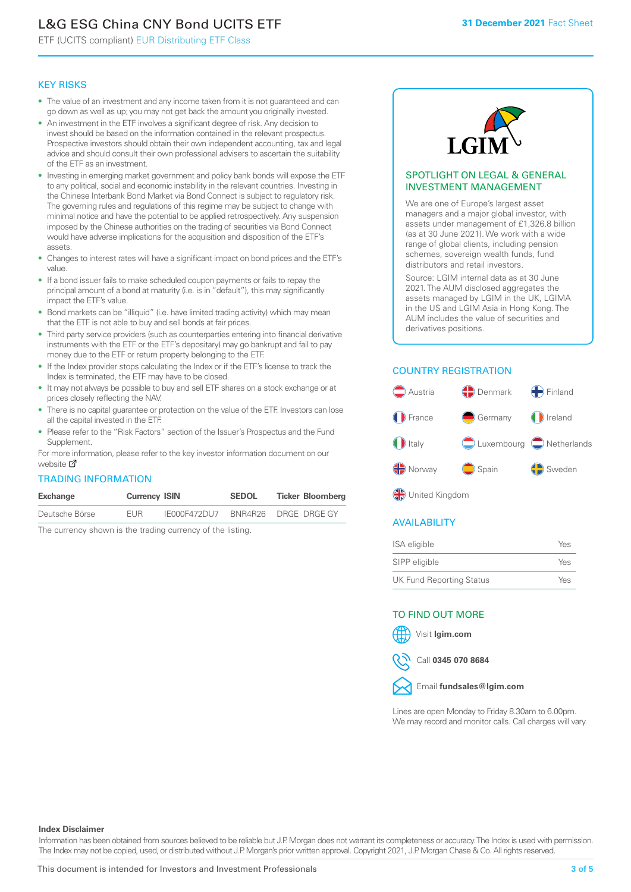# L&G ESG China CNY Bond UCITS ETF

ETF (UCITS compliant) EUR Distributing ETF Class

#### KEY RISKS

- The value of an investment and any income taken from it is not guaranteed and can go down as well as up; you may not get back the amount you originally invested.
- An investment in the ETF involves a significant degree of risk. Any decision to invest should be based on the information contained in the relevant prospectus. Prospective investors should obtain their own independent accounting, tax and legal advice and should consult their own professional advisers to ascertain the suitability of the ETF as an investment.
- Investing in emerging market government and policy bank bonds will expose the ETF to any political, social and economic instability in the relevant countries. Investing in the Chinese Interbank Bond Market via Bond Connect is subject to regulatory risk. The governing rules and regulations of this regime may be subject to change with minimal notice and have the potential to be applied retrospectively. Any suspension imposed by the Chinese authorities on the trading of securities via Bond Connect would have adverse implications for the acquisition and disposition of the ETF's assets.
- Changes to interest rates will have a significant impact on bond prices and the ETF's value.
- If a bond issuer fails to make scheduled coupon payments or fails to repay the principal amount of a bond at maturity (i.e. is in "default"), this may significantly impact the ETF's value.
- Bond markets can be "illiquid" (i.e. have limited trading activity) which may mean that the ETF is not able to buy and sell bonds at fair prices.
- Third party service providers (such as counterparties entering into financial derivative instruments with the ETF or the ETF's depositary) may go bankrupt and fail to pay money due to the ETF or return property belonging to the ETF.
- If the Index provider stops calculating the Index or if the ETF's license to track the Index is terminated, the ETF may have to be closed.
- It may not always be possible to buy and sell ETF shares on a stock exchange or at prices closely reflecting the NAV.
- There is no capital guarantee or protection on the value of the ETF. Investors can lose all the capital invested in the ETF.
- Please refer to the "Risk Factors" section of the Issuer's Prospectus and the Fund Supplement.

For mo[re inf](https://www.lgimetf.com/)ormation, please refer to the key investor information document on our website M

#### TRADING INFORMATION

| Exchange       | <b>Currency ISIN</b> |              | <b>SEDOL</b> | <b>Ticker Bloomberg</b> |
|----------------|----------------------|--------------|--------------|-------------------------|
| Deutsche Börse | <b>FUR</b>           | IE000F472DU7 |              | BNR4R26 DRGE DRGE GY    |

The currency shown is the trading currency of the listing.



#### SPOTLIGHT ON LEGAL & GENERAL INVESTMENT MANAGEMENT

We are one of Europe's largest asset managers and a major global investor, with assets under management of £1,326.8 billion (as at 30 June 2021). We work with a wide range of global clients, including pension schemes, sovereign wealth funds, fund distributors and retail investors.

Source: LGIM internal data as at 30 June 2021. The AUM disclosed aggregates the assets managed by LGIM in the UK, LGIMA in the US and LGIM Asia in Hong Kong. The AUM includes the value of securities and derivatives positions.

#### COUNTRY REGISTRATION



**OR** United Kingdom

#### AVAILABILITY

| ISA eligible                    | Yes |
|---------------------------------|-----|
| SIPP eligible                   | Yes |
| <b>UK Fund Reporting Status</b> | Yes |

#### TO FIND OUT MORE

Visit **lgim.com**



Call **0345 070 8684**



Lines are open Monday to Friday 8.30am to 6.00pm. We may record and monitor calls. Call charges will vary.

#### **Index Disclaimer**

Information has been obtained from sources believed to be reliable but J.P. Morgan does not warrant its completeness or accuracy. The Index is used with permission. The Index may not be copied, used, or distributed without J.P. Morgan's prior written approval. Copyright 2021, J.P. Morgan Chase & Co. All rights reserved.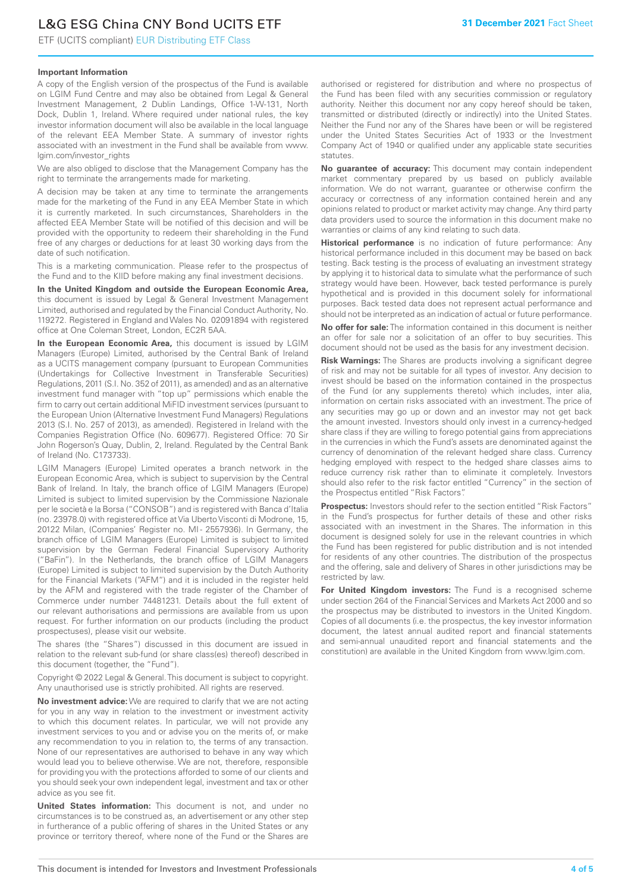# L&G ESG China CNY Bond UCITS ETF

ETF (UCITS compliant) EUR Distributing ETF Class

#### **Important Information**

A copy of the English version of the prospectus of the Fund is available on LGIM Fund Centre and may also be obtained from Legal & General Investment Management, 2 Dublin Landings, Office 1-W-131, North Dock, Dublin 1, Ireland. Where required under national rules, the key investor information document will also be available in the local language of the relevant EEA Member State. A summary of investor rights associated with an investment in the Fund shall be available from www. lgim.com/investor\_rights

We are also obliged to disclose that the Management Company has the right to terminate the arrangements made for marketing.

A decision may be taken at any time to terminate the arrangements made for the marketing of the Fund in any EEA Member State in which it is currently marketed. In such circumstances, Shareholders in the affected EEA Member State will be notified of this decision and will be provided with the opportunity to redeem their shareholding in the Fund free of any charges or deductions for at least 30 working days from the date of such notification.

This is a marketing communication. Please refer to the prospectus of the Fund and to the KIID before making any final investment decisions.

**In the United Kingdom and outside the European Economic Area,** this document is issued by Legal & General Investment Management Limited, authorised and regulated by the Financial Conduct Authority, No. 119272. Registered in England and Wales No. 02091894 with registered office at One Coleman Street, London, EC2R 5AA.

**In the European Economic Area,** this document is issued by LGIM Managers (Europe) Limited, authorised by the Central Bank of Ireland as a UCITS management company (pursuant to European Communities (Undertakings for Collective Investment in Transferable Securities) Regulations, 2011 (S.I. No. 352 of 2011), as amended) and as an alternative investment fund manager with "top up" permissions which enable the firm to carry out certain additional MiFID investment services (pursuant to the European Union (Alternative Investment Fund Managers) Regulations 2013 (S.I. No. 257 of 2013), as amended). Registered in Ireland with the Companies Registration Office (No. 609677). Registered Office: 70 Sir John Rogerson's Quay, Dublin, 2, Ireland. Regulated by the Central Bank of Ireland (No. C173733).

LGIM Managers (Europe) Limited operates a branch network in the European Economic Area, which is subject to supervision by the Central Bank of Ireland. In Italy, the branch office of LGIM Managers (Europe) Limited is subject to limited supervision by the Commissione Nazionale per le società e la Borsa ("CONSOB") and is registered with Banca d'Italia (no. 23978.0) with registered office at Via Uberto Visconti di Modrone, 15, 20122 Milan, (Companies' Register no. MI - 2557936). In Germany, the branch office of LGIM Managers (Europe) Limited is subject to limited supervision by the German Federal Financial Supervisory Authority ("BaFin"). In the Netherlands, the branch office of LGIM Managers (Europe) Limited is subject to limited supervision by the Dutch Authority for the Financial Markets ("AFM") and it is included in the register held by the AFM and registered with the trade register of the Chamber of Commerce under number 74481231. Details about the full extent of our relevant authorisations and permissions are available from us upon request. For further information on our products (including the product prospectuses), please visit our website.

The shares (the "Shares") discussed in this document are issued in relation to the relevant sub-fund (or share class(es) thereof) described in this document (together, the "Fund").

Copyright © 2022 Legal & General. This document is subject to copyright. Any unauthorised use is strictly prohibited. All rights are reserved.

**No investment advice:** We are required to clarify that we are not acting for you in any way in relation to the investment or investment activity to which this document relates. In particular, we will not provide any investment services to you and or advise you on the merits of, or make any recommendation to you in relation to, the terms of any transaction. None of our representatives are authorised to behave in any way which would lead you to believe otherwise. We are not, therefore, responsible for providing you with the protections afforded to some of our clients and you should seek your own independent legal, investment and tax or other advice as you see fit.

**United States information:** This document is not, and under no circumstances is to be construed as, an advertisement or any other step in furtherance of a public offering of shares in the United States or any province or territory thereof, where none of the Fund or the Shares are authorised or registered for distribution and where no prospectus of the Fund has been filed with any securities commission or regulatory authority. Neither this document nor any copy hereof should be taken, transmitted or distributed (directly or indirectly) into the United States. Neither the Fund nor any of the Shares have been or will be registered under the United States Securities Act of 1933 or the Investment Company Act of 1940 or qualified under any applicable state securities statutes.

**No guarantee of accuracy:** This document may contain independent market commentary prepared by us based on publicly available information. We do not warrant, guarantee or otherwise confirm the accuracy or correctness of any information contained herein and any opinions related to product or market activity may change. Any third party data providers used to source the information in this document make no warranties or claims of any kind relating to such data.

**Historical performance** is no indication of future performance: Any historical performance included in this document may be based on back testing. Back testing is the process of evaluating an investment strategy by applying it to historical data to simulate what the performance of such strategy would have been. However, back tested performance is purely hypothetical and is provided in this document solely for informational purposes. Back tested data does not represent actual performance and should not be interpreted as an indication of actual or future performance.

**No offer for sale:** The information contained in this document is neither an offer for sale nor a solicitation of an offer to buy securities. This document should not be used as the basis for any investment decision.

**Risk Warnings:** The Shares are products involving a significant degree of risk and may not be suitable for all types of investor. Any decision to invest should be based on the information contained in the prospectus of the Fund (or any supplements thereto) which includes, inter alia, information on certain risks associated with an investment. The price of any securities may go up or down and an investor may not get back the amount invested. Investors should only invest in a currency-hedged share class if they are willing to forego potential gains from appreciations in the currencies in which the Fund's assets are denominated against the currency of denomination of the relevant hedged share class. Currency hedging employed with respect to the hedged share classes aims to reduce currency risk rather than to eliminate it completely. Investors should also refer to the risk factor entitled "Currency" in the section of the Prospectus entitled "Risk Factors".

**Prospectus:** Investors should refer to the section entitled "Risk Factors" in the Fund's prospectus for further details of these and other risks associated with an investment in the Shares. The information in this document is designed solely for use in the relevant countries in which the Fund has been registered for public distribution and is not intended for residents of any other countries. The distribution of the prospectus and the offering, sale and delivery of Shares in other jurisdictions may be restricted by law.

**For United Kingdom investors:** The Fund is a recognised scheme under section 264 of the Financial Services and Markets Act 2000 and so the prospectus may be distributed to investors in the United Kingdom. Copies of all documents (i.e. the prospectus, the key investor information document, the latest annual audited report and financial statements and semi-annual unaudited report and financial statements and the constitution) are available in the United Kingdom from www.lgim.com.